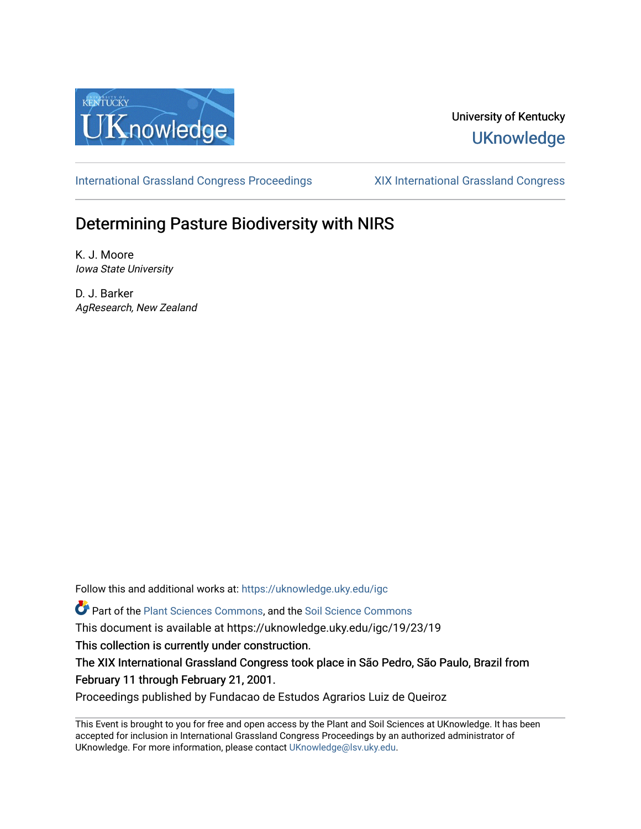

## University of Kentucky **UKnowledge**

[International Grassland Congress Proceedings](https://uknowledge.uky.edu/igc) [XIX International Grassland Congress](https://uknowledge.uky.edu/igc/19) 

# Determining Pasture Biodiversity with NIRS

K. J. Moore Iowa State University

D. J. Barker AgResearch, New Zealand

Follow this and additional works at: [https://uknowledge.uky.edu/igc](https://uknowledge.uky.edu/igc?utm_source=uknowledge.uky.edu%2Figc%2F19%2F23%2F19&utm_medium=PDF&utm_campaign=PDFCoverPages) 

Part of the [Plant Sciences Commons](http://network.bepress.com/hgg/discipline/102?utm_source=uknowledge.uky.edu%2Figc%2F19%2F23%2F19&utm_medium=PDF&utm_campaign=PDFCoverPages), and the [Soil Science Commons](http://network.bepress.com/hgg/discipline/163?utm_source=uknowledge.uky.edu%2Figc%2F19%2F23%2F19&utm_medium=PDF&utm_campaign=PDFCoverPages) 

This document is available at https://uknowledge.uky.edu/igc/19/23/19

This collection is currently under construction.

The XIX International Grassland Congress took place in São Pedro, São Paulo, Brazil from February 11 through February 21, 2001.

Proceedings published by Fundacao de Estudos Agrarios Luiz de Queiroz

This Event is brought to you for free and open access by the Plant and Soil Sciences at UKnowledge. It has been accepted for inclusion in International Grassland Congress Proceedings by an authorized administrator of UKnowledge. For more information, please contact [UKnowledge@lsv.uky.edu](mailto:UKnowledge@lsv.uky.edu).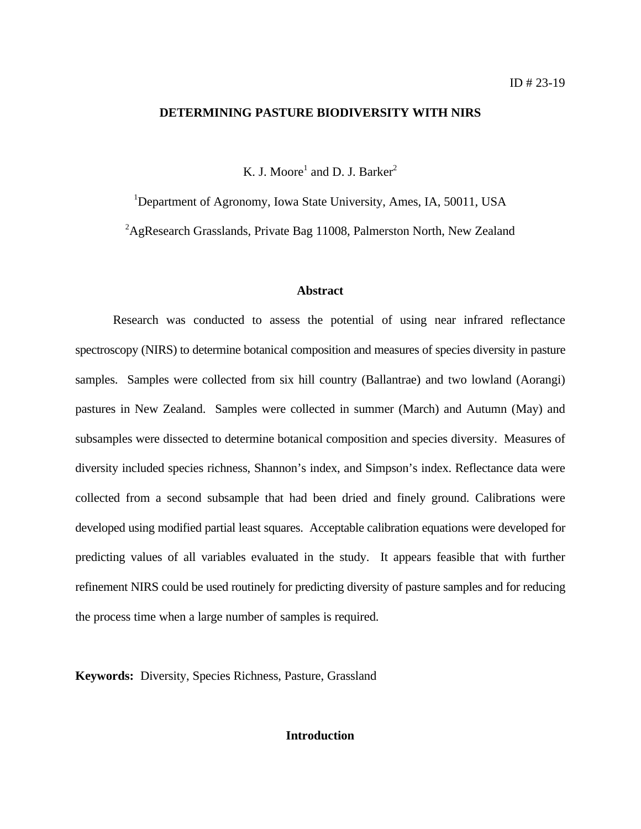#### **DETERMINING PASTURE BIODIVERSITY WITH NIRS**

K. J. Moore<sup>1</sup> and D. J. Barker<sup>2</sup>

<sup>1</sup>Department of Agronomy, Iowa State University, Ames, IA, 50011, USA

 ${}^{2}$ AgResearch Grasslands, Private Bag 11008, Palmerston North, New Zealand

#### **Abstract**

Research was conducted to assess the potential of using near infrared reflectance spectroscopy (NIRS) to determine botanical composition and measures of species diversity in pasture samples. Samples were collected from six hill country (Ballantrae) and two lowland (Aorangi) pastures in New Zealand. Samples were collected in summer (March) and Autumn (May) and subsamples were dissected to determine botanical composition and species diversity. Measures of diversity included species richness, Shannon's index, and Simpson's index. Reflectance data were collected from a second subsample that had been dried and finely ground. Calibrations were developed using modified partial least squares. Acceptable calibration equations were developed for predicting values of all variables evaluated in the study. It appears feasible that with further refinement NIRS could be used routinely for predicting diversity of pasture samples and for reducing the process time when a large number of samples is required.

**Keywords:** Diversity, Species Richness, Pasture, Grassland

#### **Introduction**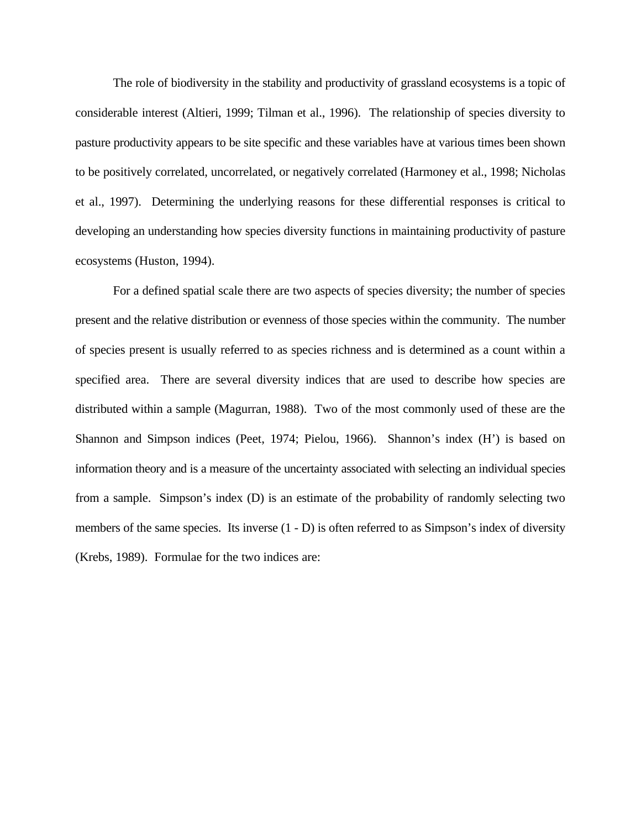The role of biodiversity in the stability and productivity of grassland ecosystems is a topic of considerable interest (Altieri, 1999; Tilman et al., 1996). The relationship of species diversity to pasture productivity appears to be site specific and these variables have at various times been shown to be positively correlated, uncorrelated, or negatively correlated (Harmoney et al., 1998; Nicholas et al., 1997). Determining the underlying reasons for these differential responses is critical to developing an understanding how species diversity functions in maintaining productivity of pasture ecosystems (Huston, 1994).

For a defined spatial scale there are two aspects of species diversity; the number of species present and the relative distribution or evenness of those species within the community. The number of species present is usually referred to as species richness and is determined as a count within a specified area. There are several diversity indices that are used to describe how species are distributed within a sample (Magurran, 1988). Two of the most commonly used of these are the Shannon and Simpson indices (Peet, 1974; Pielou, 1966). Shannon's index (H') is based on information theory and is a measure of the uncertainty associated with selecting an individual species from a sample. Simpson's index (D) is an estimate of the probability of randomly selecting two members of the same species. Its inverse  $(1 - D)$  is often referred to as Simpson's index of diversity (Krebs, 1989). Formulae for the two indices are: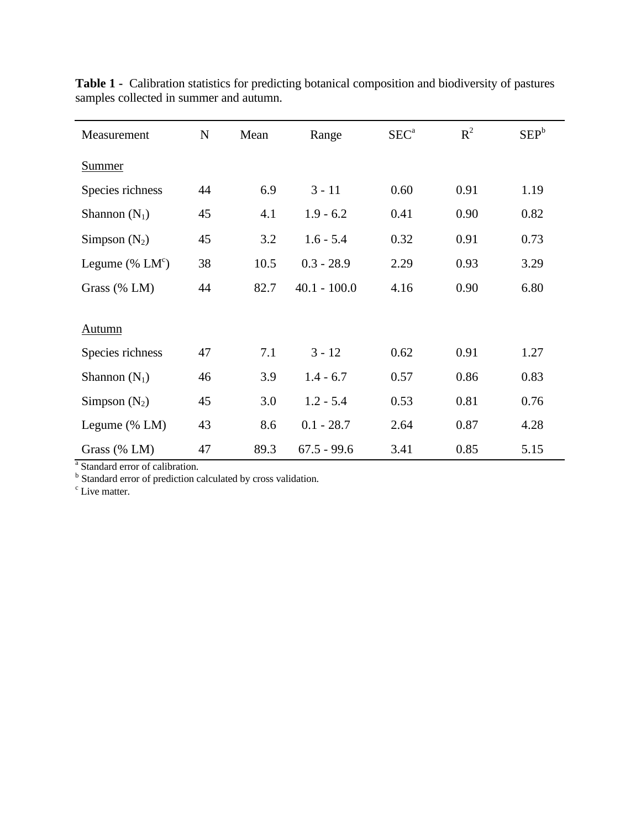| Measurement         | $\mathbf N$ | Mean | Range          | SEC <sup>a</sup> | $R^2$ | $SEP^b$ |
|---------------------|-------------|------|----------------|------------------|-------|---------|
| <b>Summer</b>       |             |      |                |                  |       |         |
| Species richness    | 44          | 6.9  | $3 - 11$       | 0.60             | 0.91  | 1.19    |
| Shannon $(N_1)$     | 45          | 4.1  | $1.9 - 6.2$    | 0.41             | 0.90  | 0.82    |
| Simpson $(N_2)$     | 45          | 3.2  | $1.6 - 5.4$    | 0.32             | 0.91  | 0.73    |
| Legume (% $LMc$ )   | 38          | 10.5 | $0.3 - 28.9$   | 2.29             | 0.93  | 3.29    |
| Grass (% LM)        | 44          | 82.7 | $40.1 - 100.0$ | 4.16             | 0.90  | 6.80    |
|                     |             |      |                |                  |       |         |
| <b>Autumn</b>       |             |      |                |                  |       |         |
| Species richness    | 47          | 7.1  | $3 - 12$       | 0.62             | 0.91  | 1.27    |
| Shannon $(N_1)$     | 46          | 3.9  | $1.4 - 6.7$    | 0.57             | 0.86  | 0.83    |
| Simpson $(N_2)$     | 45          | 3.0  | $1.2 - 5.4$    | 0.53             | 0.81  | 0.76    |
| Legume $(\%$ LM $)$ | 43          | 8.6  | $0.1 - 28.7$   | 2.64             | 0.87  | 4.28    |
| Grass (% LM)        | 47          | 89.3 | $67.5 - 99.6$  | 3.41             | 0.85  | 5.15    |

**Table 1 -** Calibration statistics for predicting botanical composition and biodiversity of pastures samples collected in summer and autumn.

<sup>a</sup> Standard error of calibration.<br><sup>b</sup> Standard error of prediction calculated by cross validation.<br><sup>c</sup> Live matter.